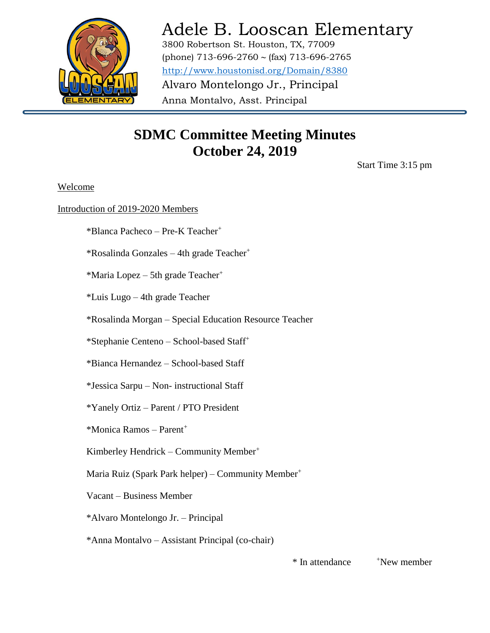

# Adele B. Looscan Elementary

3800 Robertson St. Houston, TX, 77009 (phone) 713-696-2760 ~ (fax) 713-696-2765 <http://www.houstonisd.org/Domain/8380> Alvaro Montelongo Jr., Principal Anna Montalvo, Asst. Principal

### **SDMC Committee Meeting Minutes October 24, 2019**

Start Time 3:15 pm

Welcome

Introduction of 2019-2020 Members

\*Blanca Pacheco – Pre-K Teacher<sup>+</sup>

 $*Rosalinda$  Gonzales – 4th grade Teacher<sup>+</sup>

 $*$ Maria Lopez – 5th grade Teacher $*$ 

\*Luis Lugo – 4th grade Teacher

\*Rosalinda Morgan – Special Education Resource Teacher

Anna Montalvo

\*Stephanie Centeno – School-based Staff<sup>+</sup>

\*Bianca Hernandez – School-based Staff

\*Jessica Sarpu – Non- instructional Staff

\*Yanely Ortiz – Parent / PTO President

\*Monica Ramos – Parent<sup>+</sup>

Kimberley Hendrick – Community Member<sup>+</sup>

Maria Ruiz (Spark Park helper) – Community Member<sup>+</sup>

Vacant – Business Member

\*Alvaro Montelongo Jr. – Principal

\*Anna Montalvo – Assistant Principal (co-chair)

 $*$  In attendance  $*$ New member